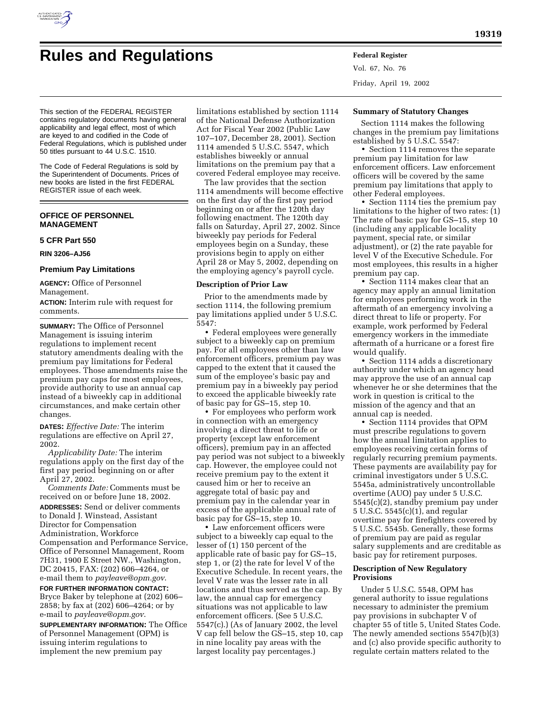

# **Rules and Regulations Federal Register**

Vol. 67, No. 76 Friday, April 19, 2002

This section of the FEDERAL REGISTER contains regulatory documents having general applicability and legal effect, most of which are keyed to and codified in the Code of Federal Regulations, which is published under 50 titles pursuant to 44 U.S.C. 1510.

The Code of Federal Regulations is sold by the Superintendent of Documents. Prices of new books are listed in the first FEDERAL REGISTER issue of each week.

# **OFFICE OF PERSONNEL MANAGEMENT**

# **5 CFR Part 550**

**RIN 3206–AJ56**

# **Premium Pay Limitations**

**AGENCY:** Office of Personnel Management.

**ACTION:** Interim rule with request for comments.

**SUMMARY:** The Office of Personnel Management is issuing interim regulations to implement recent statutory amendments dealing with the premium pay limitations for Federal employees. Those amendments raise the premium pay caps for most employees, provide authority to use an annual cap instead of a biweekly cap in additional circumstances, and make certain other changes.

**DATES:** *Effective Date:* The interim regulations are effective on April 27, 2002.

*Applicability Date:* The interim regulations apply on the first day of the first pay period beginning on or after April 27, 2002.

*Comments Date:* Comments must be received on or before June 18, 2002. **ADDRESSES:** Send or deliver comments to Donald J. Winstead, Assistant Director for Compensation Administration, Workforce Compensation and Performance Service, Office of Personnel Management, Room 7H31, 1900 E Street NW., Washington, DC 20415, FAX: (202) 606–4264, or e-mail them to *payleave@opm.gov*.

**FOR FURTHER INFORMATION CONTACT:** Bryce Baker by telephone at (202) 606– 2858; by fax at (202) 606–4264; or by e-mail to *payleave@opm.gov*.

**SUPPLEMENTARY INFORMATION:** The Office of Personnel Management (OPM) is issuing interim regulations to implement the new premium pay

limitations established by section 1114 of the National Defense Authorization Act for Fiscal Year 2002 (Public Law 107–107, December 28, 2001). Section 1114 amended 5 U.S.C. 5547, which establishes biweekly or annual limitations on the premium pay that a covered Federal employee may receive.

The law provides that the section 1114 amendments will become effective on the first day of the first pay period beginning on or after the 120th day following enactment. The 120th day falls on Saturday, April 27, 2002. Since biweekly pay periods for Federal employees begin on a Sunday, these provisions begin to apply on either April 28 or May 5, 2002, depending on the employing agency's payroll cycle.

#### **Description of Prior Law**

Prior to the amendments made by section 1114, the following premium pay limitations applied under 5 U.S.C. 5547:

• Federal employees were generally subject to a biweekly cap on premium pay. For all employees other than law enforcement officers, premium pay was capped to the extent that it caused the sum of the employee's basic pay and premium pay in a biweekly pay period to exceed the applicable biweekly rate of basic pay for GS–15, step 10.

• For employees who perform work in connection with an emergency involving a direct threat to life or property (except law enforcement officers), premium pay in an affected pay period was not subject to a biweekly cap. However, the employee could not receive premium pay to the extent it caused him or her to receive an aggregate total of basic pay and premium pay in the calendar year in excess of the applicable annual rate of basic pay for GS–15, step 10.

• Law enforcement officers were subject to a biweekly cap equal to the lesser of (1) 150 percent of the applicable rate of basic pay for GS–15, step 1, or (2) the rate for level V of the Executive Schedule. In recent years, the level V rate was the lesser rate in all locations and thus served as the cap. By law, the annual cap for emergency situations was not applicable to law enforcement officers. (See 5 U.S.C. 5547(c).) (As of January 2002, the level V cap fell below the GS–15, step 10, cap in nine locality pay areas with the largest locality pay percentages.)

# **Summary of Statutory Changes**

Section 1114 makes the following changes in the premium pay limitations established by 5 U.S.C. 5547:

• Section 1114 removes the separate premium pay limitation for law enforcement officers. Law enforcement officers will be covered by the same premium pay limitations that apply to other Federal employees.

• Section 1114 ties the premium pay limitations to the higher of two rates: (1) The rate of basic pay for GS–15, step 10 (including any applicable locality payment, special rate, or similar adjustment), or (2) the rate payable for level V of the Executive Schedule. For most employees, this results in a higher premium pay cap.

• Section 1114 makes clear that an agency may apply an annual limitation for employees performing work in the aftermath of an emergency involving a direct threat to life or property. For example, work performed by Federal emergency workers in the immediate aftermath of a hurricane or a forest fire would qualify.

• Section 1114 adds a discretionary authority under which an agency head may approve the use of an annual cap whenever he or she determines that the work in question is critical to the mission of the agency and that an annual cap is needed.

• Section 1114 provides that OPM must prescribe regulations to govern how the annual limitation applies to employees receiving certain forms of regularly recurring premium payments. These payments are availability pay for criminal investigators under 5 U.S.C. 5545a, administratively uncontrollable overtime (AUO) pay under 5 U.S.C. 5545(c)(2), standby premium pay under 5 U.S.C. 5545(c)(1), and regular overtime pay for firefighters covered by 5 U.S.C. 5545b. Generally, these forms of premium pay are paid as regular salary supplements and are creditable as basic pay for retirement purposes.

# **Description of New Regulatory Provisions**

Under 5 U.S.C. 5548, OPM has general authority to issue regulations necessary to administer the premium pay provisions in subchapter V of chapter 55 of title 5, United States Code. The newly amended sections 5547(b)(3) and (c) also provide specific authority to regulate certain matters related to the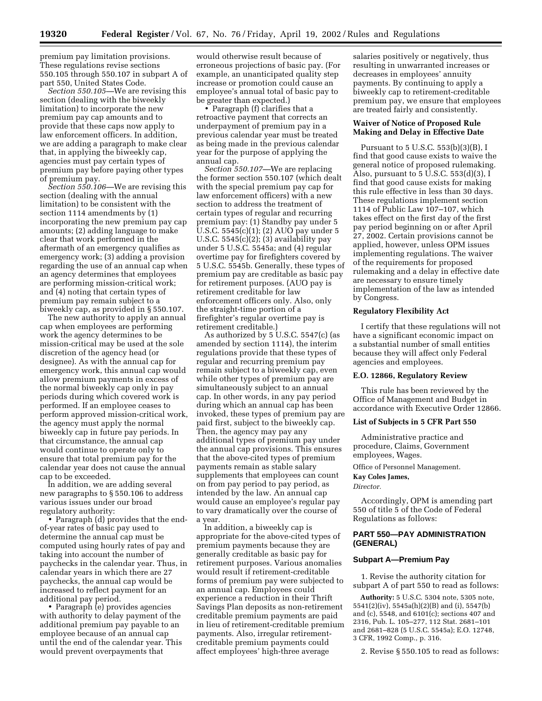premium pay limitation provisions. These regulations revise sections 550.105 through 550.107 in subpart A of part 550, United States Code.

*Section 550.105—*We are revising this section (dealing with the biweekly limitation) to incorporate the new premium pay cap amounts and to provide that these caps now apply to law enforcement officers. In addition, we are adding a paragraph to make clear that, in applying the biweekly cap, agencies must pay certain types of premium pay before paying other types of premium pay.

*Section 550.106—*We are revising this section (dealing with the annual limitation) to be consistent with the section 1114 amendments by (1) incorporating the new premium pay cap amounts; (2) adding language to make clear that work performed in the aftermath of an emergency qualifies as emergency work; (3) adding a provision regarding the use of an annual cap when an agency determines that employees are performing mission-critical work; and (4) noting that certain types of premium pay remain subject to a biweekly cap, as provided in § 550.107.

The new authority to apply an annual cap when employees are performing work the agency determines to be mission-critical may be used at the sole discretion of the agency head (or designee). As with the annual cap for emergency work, this annual cap would allow premium payments in excess of the normal biweekly cap only in pay periods during which covered work is performed. If an employee ceases to perform approved mission-critical work, the agency must apply the normal biweekly cap in future pay periods. In that circumstance, the annual cap would continue to operate only to ensure that total premium pay for the calendar year does not cause the annual cap to be exceeded.

In addition, we are adding several new paragraphs to § 550.106 to address various issues under our broad regulatory authority:

• Paragraph (d) provides that the endof-year rates of basic pay used to determine the annual cap must be computed using hourly rates of pay and taking into account the number of paychecks in the calendar year. Thus, in calendar years in which there are 27 paychecks, the annual cap would be increased to reflect payment for an additional pay period.

• Paragraph (e) provides agencies with authority to delay payment of the additional premium pay payable to an employee because of an annual cap until the end of the calendar year. This would prevent overpayments that

would otherwise result because of erroneous projections of basic pay. (For example, an unanticipated quality step increase or promotion could cause an employee's annual total of basic pay to be greater than expected.)

• Paragraph (f) clarifies that a retroactive payment that corrects an underpayment of premium pay in a previous calendar year must be treated as being made in the previous calendar year for the purpose of applying the annual cap.

*Section 550.107—*We are replacing the former section 550.107 (which dealt with the special premium pay cap for law enforcement officers) with a new section to address the treatment of certain types of regular and recurring premium pay: (1) Standby pay under 5 U.S.C. 5545(c)(1); (2) AUO pay under 5 U.S.C. 5545(c)(2); (3) availability pay under 5 U.S.C. 5545a; and (4) regular overtime pay for firefighters covered by 5 U.S.C. 5545b. Generally, these types of premium pay are creditable as basic pay for retirement purposes. (AUO pay is retirement creditable for law enforcement officers only. Also, only the straight-time portion of a firefighter's regular overtime pay is retirement creditable.)

As authorized by 5 U.S.C. 5547(c) (as amended by section 1114), the interim regulations provide that these types of regular and recurring premium pay remain subject to a biweekly cap, even while other types of premium pay are simultaneously subject to an annual cap. In other words, in any pay period during which an annual cap has been invoked, these types of premium pay are paid first, subject to the biweekly cap. Then, the agency may pay any additional types of premium pay under the annual cap provisions. This ensures that the above-cited types of premium payments remain as stable salary supplements that employees can count on from pay period to pay period, as intended by the law. An annual cap would cause an employee's regular pay to vary dramatically over the course of a year.

In addition, a biweekly cap is appropriate for the above-cited types of premium payments because they are generally creditable as basic pay for retirement purposes. Various anomalies would result if retirement-creditable forms of premium pay were subjected to an annual cap. Employees could experience a reduction in their Thrift Savings Plan deposits as non-retirement creditable premium payments are paid in lieu of retirement-creditable premium payments. Also, irregular retirementcreditable premium payments could affect employees' high-three average

salaries positively or negatively, thus resulting in unwarranted increases or decreases in employees' annuity payments. By continuing to apply a biweekly cap to retirement-creditable premium pay, we ensure that employees are treated fairly and consistently.

# **Waiver of Notice of Proposed Rule Making and Delay in Effective Date**

Pursuant to 5 U.S.C. 553(b)(3)(B), I find that good cause exists to waive the general notice of proposed rulemaking. Also, pursuant to 5 U.S.C. 553(d)(3), I find that good cause exists for making this rule effective in less than 30 days. These regulations implement section 1114 of Public Law 107–107, which takes effect on the first day of the first pay period beginning on or after April 27, 2002. Certain provisions cannot be applied, however, unless OPM issues implementing regulations. The waiver of the requirements for proposed rulemaking and a delay in effective date are necessary to ensure timely implementation of the law as intended by Congress.

# **Regulatory Flexibility Act**

I certify that these regulations will not have a significant economic impact on a substantial number of small entities because they will affect only Federal agencies and employees.

# **E.O. 12866, Regulatory Review**

This rule has been reviewed by the Office of Management and Budget in accordance with Executive Order 12866.

#### **List of Subjects in 5 CFR Part 550**

Administrative practice and procedure, Claims, Government employees, Wages.

Office of Personnel Management.

**Kay Coles James,**

*Director.*

Accordingly, OPM is amending part 550 of title 5 of the Code of Federal Regulations as follows:

# **PART 550—PAY ADMINISTRATION (GENERAL)**

# **Subpart A—Premium Pay**

1. Revise the authority citation for subpart A of part 550 to read as follows:

**Authority:** 5 U.S.C. 5304 note, 5305 note, 5541(2)(iv), 5545a(h)(2)(B) and (i), 5547(b) and (c), 5548, and 6101(c); sections 407 and 2316, Pub. L. 105–277, 112 Stat. 2681–101 and 2681–828 (5 U.S.C. 5545a); E.O. 12748, 3 CFR, 1992 Comp., p. 316.

2. Revise § 550.105 to read as follows: